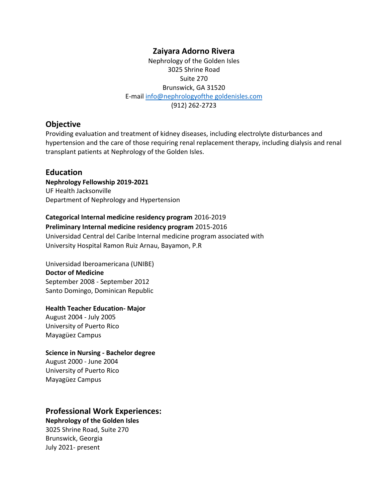## **Zaiyara Adorno Rivera**

Nephrology of the Golden Isles 3025 Shrine Road Suite 270 Brunswick, GA 31520 E-mai[l info@nephrologyofthe](mailto:zai_adorno@yahoo.com) goldenisles.com (912) 262-2723

### **Objective**

Providing evaluation and treatment of kidney diseases, including electrolyte disturbances and hypertension and the care of those requiring renal replacement therapy, including dialysis and renal transplant patients at Nephrology of the Golden Isles.

## **Education**

**Nephrology Fellowship 2019-2021** UF Health Jacksonville Department of Nephrology and Hypertension

**Categorical Internal medicine residency program** 2016-2019 **Preliminary Internal medicine residency program** 2015-2016 Universidad Central del Caribe Internal medicine program associated with University Hospital Ramon Ruiz Arnau, Bayamon, P.R

Universidad Iberoamericana (UNIBE) **Doctor of Medicine**  September 2008 - September 2012 Santo Domingo, Dominican Republic

#### **Health Teacher Education- Major**

August 2004 - July 2005 University of Puerto Rico Mayagüez Campus

#### **Science in Nursing - Bachelor degree**

August 2000 - June 2004 University of Puerto Rico Mayagüez Campus

## **Professional Work Experiences:**

**Nephrology of the Golden Isles**

3025 Shrine Road, Suite 270 Brunswick, Georgia July 2021- present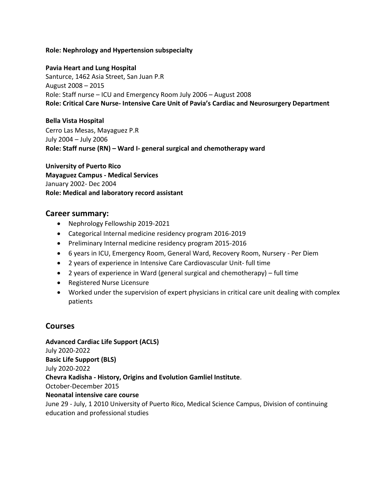#### **Role: Nephrology and Hypertension subspecialty**

#### **Pavia Heart and Lung Hospital**

Santurce, 1462 Asia Street, San Juan P.R August 2008 – 2015 Role: Staff nurse – ICU and Emergency Room July 2006 – August 2008 **Role: Critical Care Nurse- Intensive Care Unit of Pavia's Cardiac and Neurosurgery Department** 

#### **Bella Vista Hospital**

Cerro Las Mesas, Mayaguez P.R July 2004 – July 2006 **Role: Staff nurse (RN) – Ward I- general surgical and chemotherapy ward** 

#### **University of Puerto Rico**

**Mayaguez Campus - Medical Services**  January 2002- Dec 2004 **Role: Medical and laboratory record assistant** 

### **Career summary:**

- Nephrology Fellowship 2019-2021
- Categorical Internal medicine residency program 2016-2019
- Preliminary Internal medicine residency program 2015-2016
- 6 years in ICU, Emergency Room, General Ward, Recovery Room, Nursery Per Diem
- 2 years of experience in Intensive Care Cardiovascular Unit- full time
- 2 years of experience in Ward (general surgical and chemotherapy) full time
- Registered Nurse Licensure
- Worked under the supervision of expert physicians in critical care unit dealing with complex patients

## **Courses**

**Advanced Cardiac Life Support (ACLS)** July 2020-2022 **Basic Life Support (BLS)** July 2020-2022 **Chevra Kadisha - History, Origins and Evolution Gamliel Institute**. October-December 2015 **Neonatal intensive care course** June 29 - July, 1 2010 University of Puerto Rico, Medical Science Campus, Division of continuing education and professional studies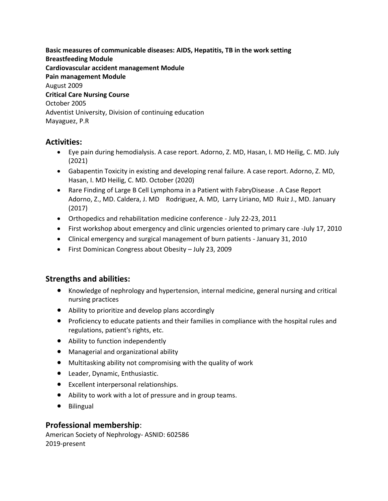**Basic measures of communicable diseases: AIDS, Hepatitis, TB in the work setting Breastfeeding Module Cardiovascular accident management Module Pain management Module**  August 2009 **Critical Care Nursing Course**  October 2005 Adventist University, Division of continuing education Mayaguez, P.R

# **Activities:**

- Eye pain during hemodialysis. A case report. Adorno, Z. MD, Hasan, I. MD Heilig, C. MD. July (2021)
- Gabapentin Toxicity in existing and developing renal failure. A case report. Adorno, Z. MD, Hasan, I. MD Heilig, C. MD. October (2020)
- Rare Finding of Large B Cell Lymphoma in a Patient with FabryDisease . A Case Report Adorno, Z., MD. Caldera, J. MD Rodriguez, A. MD, Larry Liriano, MD Ruiz J., MD. January (2017)
- Orthopedics and rehabilitation medicine conference July 22-23, 2011
- First workshop about emergency and clinic urgencies oriented to primary care -July 17, 2010
- Clinical emergency and surgical management of burn patients January 31, 2010
- First Dominican Congress about Obesity July 23, 2009

# **Strengths and abilities:**

- Knowledge of nephrology and hypertension, internal medicine, general nursing and critical nursing practices
- Ability to prioritize and develop plans accordingly
- Proficiency to educate patients and their families in compliance with the hospital rules and regulations, patient's rights, etc.
- Ability to function independently
- Managerial and organizational ability
- Multitasking ability not compromising with the quality of work
- Leader, Dynamic, Enthusiastic.
- Excellent interpersonal relationships.
- Ability to work with a lot of pressure and in group teams.
- Bilingual

# **Professional membership**:

American Society of Nephrology- ASNID: 602586 2019-present